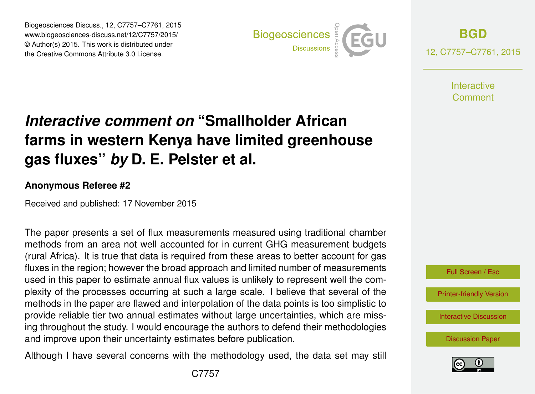Biogeosciences Discuss., 12, C7757–C7761, 2015 www.biogeosciences-discuss.net/12/C7757/2015/ © Author(s) 2015. This work is distributed under the Creative Commons Attribute 3.0 License.



**[BGD](http://www.biogeosciences-discuss.net)** 12, C7757–C7761, 2015

> **Interactive** Comment

# *Interactive comment on* **"Smallholder African farms in western Kenya have limited greenhouse gas fluxes"** *by* **D. E. Pelster et al.**

#### **Anonymous Referee #2**

Received and published: 17 November 2015

The paper presents a set of flux measurements measured using traditional chamber methods from an area not well accounted for in current GHG measurement budgets (rural Africa). It is true that data is required from these areas to better account for gas fluxes in the region; however the broad approach and limited number of measurements used in this paper to estimate annual flux values is unlikely to represent well the complexity of the processes occurring at such a large scale. I believe that several of the methods in the paper are flawed and interpolation of the data points is too simplistic to provide reliable tier two annual estimates without large uncertainties, which are missing throughout the study. I would encourage the authors to defend their methodologies and improve upon their uncertainty estimates before publication.

Although I have several concerns with the methodology used, the data set may still



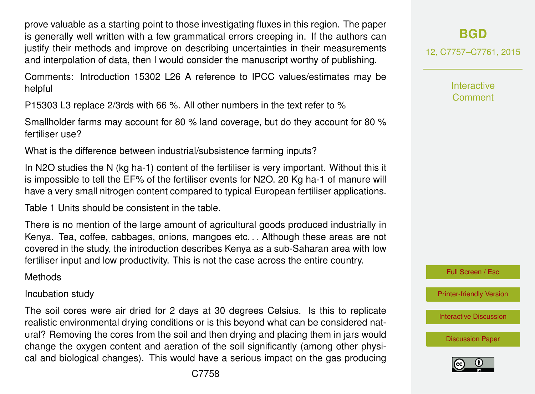prove valuable as a starting point to those investigating fluxes in this region. The paper is generally well written with a few grammatical errors creeping in. If the authors can justify their methods and improve on describing uncertainties in their measurements and interpolation of data, then I would consider the manuscript worthy of publishing.

Comments: Introduction 15302 L26 A reference to IPCC values/estimates may be helpful

P15303 L3 replace 2/3rds with 66 %. All other numbers in the text refer to %

Smallholder farms may account for 80 % land coverage, but do they account for 80 % fertiliser use?

What is the difference between industrial/subsistence farming inputs?

In N2O studies the N (kg ha-1) content of the fertiliser is very important. Without this it is impossible to tell the EF% of the fertiliser events for N2O. 20 Kg ha-1 of manure will have a very small nitrogen content compared to typical European fertiliser applications.

Table 1 Units should be consistent in the table.

There is no mention of the large amount of agricultural goods produced industrially in Kenya. Tea, coffee, cabbages, onions, mangoes etc. . . Although these areas are not covered in the study, the introduction describes Kenya as a sub-Saharan area with low fertiliser input and low productivity. This is not the case across the entire country.

**Methods** 

#### Incubation study

The soil cores were air dried for 2 days at 30 degrees Celsius. Is this to replicate realistic environmental drying conditions or is this beyond what can be considered natural? Removing the cores from the soil and then drying and placing them in jars would change the oxygen content and aeration of the soil significantly (among other physical and biological changes). This would have a serious impact on the gas producing

12, C7757–C7761, 2015

Interactive Comment



[Printer-friendly Version](http://www.biogeosciences-discuss.net/12/C7757/2015/bgd-12-C7757-2015-print.pdf)

[Interactive Discussion](http://www.biogeosciences-discuss.net/12/15301/2015/bgd-12-15301-2015-discussion.html)

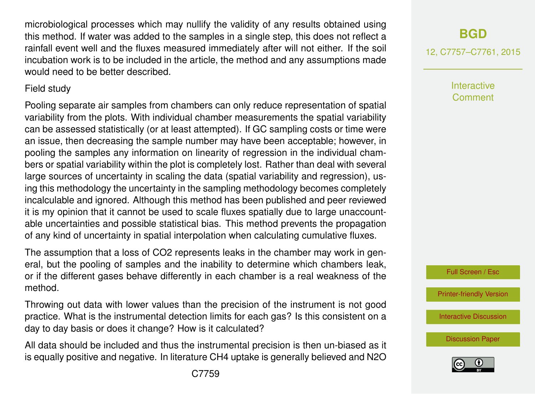microbiological processes which may nullify the validity of any results obtained using this method. If water was added to the samples in a single step, this does not reflect a rainfall event well and the fluxes measured immediately after will not either. If the soil incubation work is to be included in the article, the method and any assumptions made would need to be better described.

### Field study

Pooling separate air samples from chambers can only reduce representation of spatial variability from the plots. With individual chamber measurements the spatial variability can be assessed statistically (or at least attempted). If GC sampling costs or time were an issue, then decreasing the sample number may have been acceptable; however, in pooling the samples any information on linearity of regression in the individual chambers or spatial variability within the plot is completely lost. Rather than deal with several large sources of uncertainty in scaling the data (spatial variability and regression), using this methodology the uncertainty in the sampling methodology becomes completely incalculable and ignored. Although this method has been published and peer reviewed it is my opinion that it cannot be used to scale fluxes spatially due to large unaccountable uncertainties and possible statistical bias. This method prevents the propagation of any kind of uncertainty in spatial interpolation when calculating cumulative fluxes.

The assumption that a loss of CO2 represents leaks in the chamber may work in general, but the pooling of samples and the inability to determine which chambers leak, or if the different gases behave differently in each chamber is a real weakness of the method.

Throwing out data with lower values than the precision of the instrument is not good practice. What is the instrumental detection limits for each gas? Is this consistent on a day to day basis or does it change? How is it calculated?

All data should be included and thus the instrumental precision is then un-biased as it is equally positive and negative. In literature CH4 uptake is generally believed and N2O

12, C7757–C7761, 2015

**Interactive** Comment

Full Screen / Esc

[Printer-friendly Version](http://www.biogeosciences-discuss.net/12/C7757/2015/bgd-12-C7757-2015-print.pdf)

[Interactive Discussion](http://www.biogeosciences-discuss.net/12/15301/2015/bgd-12-15301-2015-discussion.html)

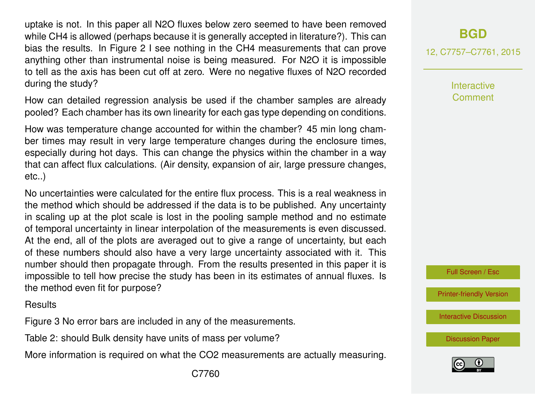uptake is not. In this paper all N2O fluxes below zero seemed to have been removed while CH4 is allowed (perhaps because it is generally accepted in literature?). This can bias the results. In Figure 2 I see nothing in the CH4 measurements that can prove anything other than instrumental noise is being measured. For N2O it is impossible to tell as the axis has been cut off at zero. Were no negative fluxes of N2O recorded during the study?

How can detailed regression analysis be used if the chamber samples are already pooled? Each chamber has its own linearity for each gas type depending on conditions.

How was temperature change accounted for within the chamber? 45 min long chamber times may result in very large temperature changes during the enclosure times, especially during hot days. This can change the physics within the chamber in a way that can affect flux calculations. (Air density, expansion of air, large pressure changes, etc..)

No uncertainties were calculated for the entire flux process. This is a real weakness in the method which should be addressed if the data is to be published. Any uncertainty in scaling up at the plot scale is lost in the pooling sample method and no estimate of temporal uncertainty in linear interpolation of the measurements is even discussed. At the end, all of the plots are averaged out to give a range of uncertainty, but each of these numbers should also have a very large uncertainty associated with it. This number should then propagate through. From the results presented in this paper it is impossible to tell how precise the study has been in its estimates of annual fluxes. Is the method even fit for purpose?

**Results** 

Figure 3 No error bars are included in any of the measurements.

Table 2: should Bulk density have units of mass per volume?

More information is required on what the CO2 measurements are actually measuring.

## **[BGD](http://www.biogeosciences-discuss.net)**

12, C7757–C7761, 2015

**Interactive** Comment

Full Screen / Esc

[Printer-friendly Version](http://www.biogeosciences-discuss.net/12/C7757/2015/bgd-12-C7757-2015-print.pdf)

[Interactive Discussion](http://www.biogeosciences-discuss.net/12/15301/2015/bgd-12-15301-2015-discussion.html)